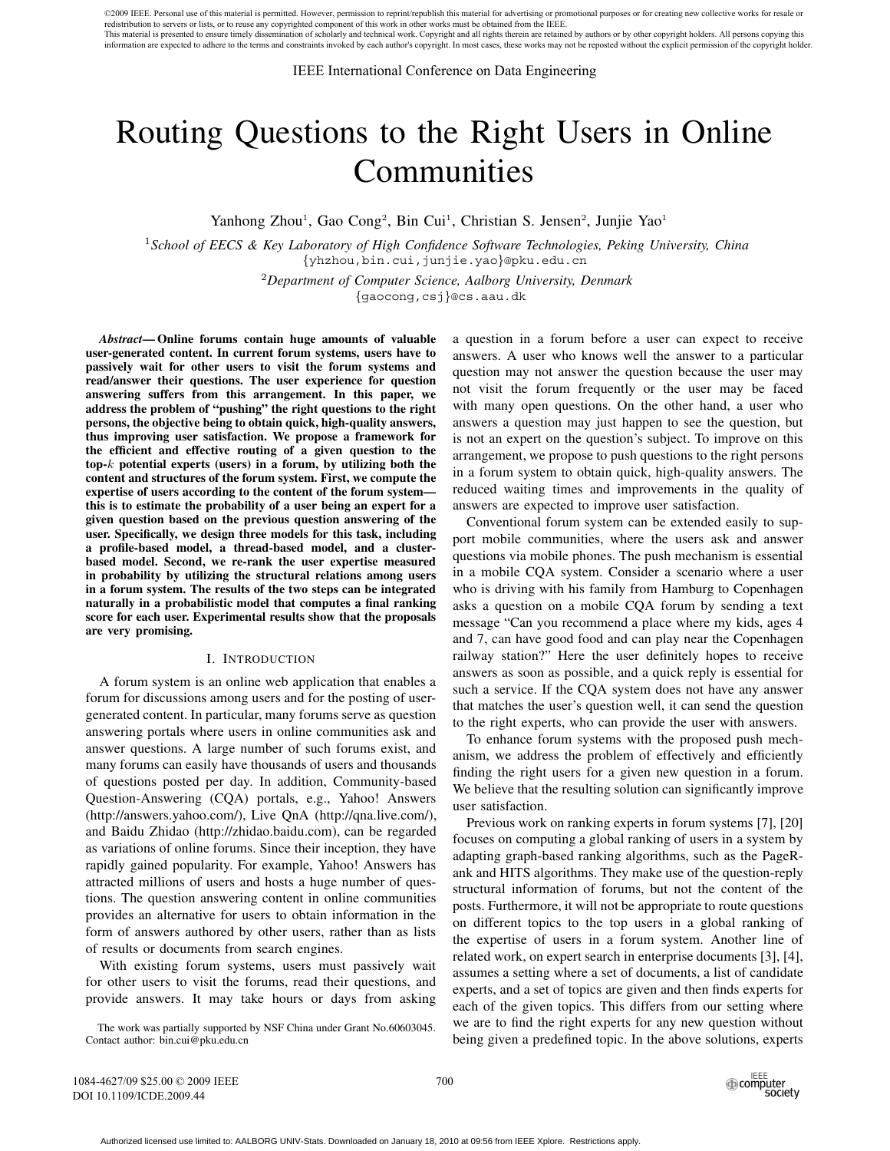©2009 IEEE. Personal use of this material is permitted. However, permission to reprint/republish this material for advertising or promotional purposes or for creating new collective works for resale or redistribution to servers or lists, or to reuse any copyrighted component of this work in other works must be obtained from the IEEE.<br>This material is presented to ensure timely dissemination of scholarly and technical wor information are expected to adhere to the terms and constraints invoked by each author's copyright. In most cases, these works may not be reposted without the explicit permission of the copyright holder.

IEEE International Conference on Data Engineering

# Routing Questions to the Right Users in Online **Communities**

Yanhong Zhou<sup>1</sup>, Gao Cong<sup>2</sup>, Bin Cui<sup>1</sup>, Christian S. Jensen<sup>2</sup>, Junjie Yao<sup>1</sup>

<sup>1</sup>*School of EECS & Key Laboratory of High Confidence Software Technologies, Peking University, China {*yhzhou,bin.cui,junjie.yao*}*@pku.edu.cn

> <sup>2</sup>*Department of Computer Science, Aalborg University, Denmark {*gaocong,csj*}*@cs.aau.dk

*Abstract***— Online forums contain huge amounts of valuable user-generated content. In current forum systems, users have to passively wait for other users to visit the forum systems and read/answer their questions. The user experience for question answering suffers from this arrangement. In this paper, we address the problem of "pushing" the right questions to the right persons, the objective being to obtain quick, high-quality answers, thus improving user satisfaction. We propose a framework for the efficient and effective routing of a given question to the top-**k **potential experts (users) in a forum, by utilizing both the content and structures of the forum system. First, we compute the expertise of users according to the content of the forum system this is to estimate the probability of a user being an expert for a given question based on the previous question answering of the user. Specifically, we design three models for this task, including a profile-based model, a thread-based model, and a clusterbased model. Second, we re-rank the user expertise measured in probability by utilizing the structural relations among users in a forum system. The results of the two steps can be integrated naturally in a probabilistic model that computes a final ranking score for each user. Experimental results show that the proposals are very promising.**

#### I. INTRODUCTION

A forum system is an online web application that enables a forum for discussions among users and for the posting of usergenerated content. In particular, many forums serve as question answering portals where users in online communities ask and answer questions. A large number of such forums exist, and many forums can easily have thousands of users and thousands of questions posted per day. In addition, Community-based Question-Answering (CQA) portals, e.g., Yahoo! Answers (http://answers.yahoo.com/), Live QnA (http://qna.live.com/), and Baidu Zhidao (http://zhidao.baidu.com), can be regarded as variations of online forums. Since their inception, they have rapidly gained popularity. For example, Yahoo! Answers has attracted millions of users and hosts a huge number of questions. The question answering content in online communities provides an alternative for users to obtain information in the form of answers authored by other users, rather than as lists of results or documents from search engines.

With existing forum systems, users must passively wait for other users to visit the forums, read their questions, and provide answers. It may take hours or days from asking

The work was partially supported by NSF China under Grant No.60603045. Contact author: bin.cui@pku.edu.cn

a question in a forum before a user can expect to receive answers. A user who knows well the answer to a particular question may not answer the question because the user may not visit the forum frequently or the user may be faced with many open questions. On the other hand, a user who answers a question may just happen to see the question, but is not an expert on the question's subject. To improve on this arrangement, we propose to push questions to the right persons in a forum system to obtain quick, high-quality answers. The reduced waiting times and improvements in the quality of answers are expected to improve user satisfaction.

Conventional forum system can be extended easily to support mobile communities, where the users ask and answer questions via mobile phones. The push mechanism is essential in a mobile CQA system. Consider a scenario where a user who is driving with his family from Hamburg to Copenhagen asks a question on a mobile CQA forum by sending a text message "Can you recommend a place where my kids, ages 4 and 7, can have good food and can play near the Copenhagen railway station?" Here the user definitely hopes to receive answers as soon as possible, and a quick reply is essential for such a service. If the CQA system does not have any answer that matches the user's question well, it can send the question to the right experts, who can provide the user with answers.

To enhance forum systems with the proposed push mechanism, we address the problem of effectively and efficiently finding the right users for a given new question in a forum. We believe that the resulting solution can significantly improve user satisfaction.

Previous work on ranking experts in forum systems [7], [20] focuses on computing a global ranking of users in a system by adapting graph-based ranking algorithms, such as the PageRank and HITS algorithms. They make use of the question-reply structural information of forums, but not the content of the posts. Furthermore, it will not be appropriate to route questions on different topics to the top users in a global ranking of the expertise of users in a forum system. Another line of related work, on expert search in enterprise documents [3], [4], assumes a setting where a set of documents, a list of candidate experts, and a set of topics are given and then finds experts for each of the given topics. This differs from our setting where we are to find the right experts for any new question without being given a predefined topic. In the above solutions, experts

1084-4627/09 \$25.00 © 2009 IEEE DOI 10.1109/ICDE.2009.44

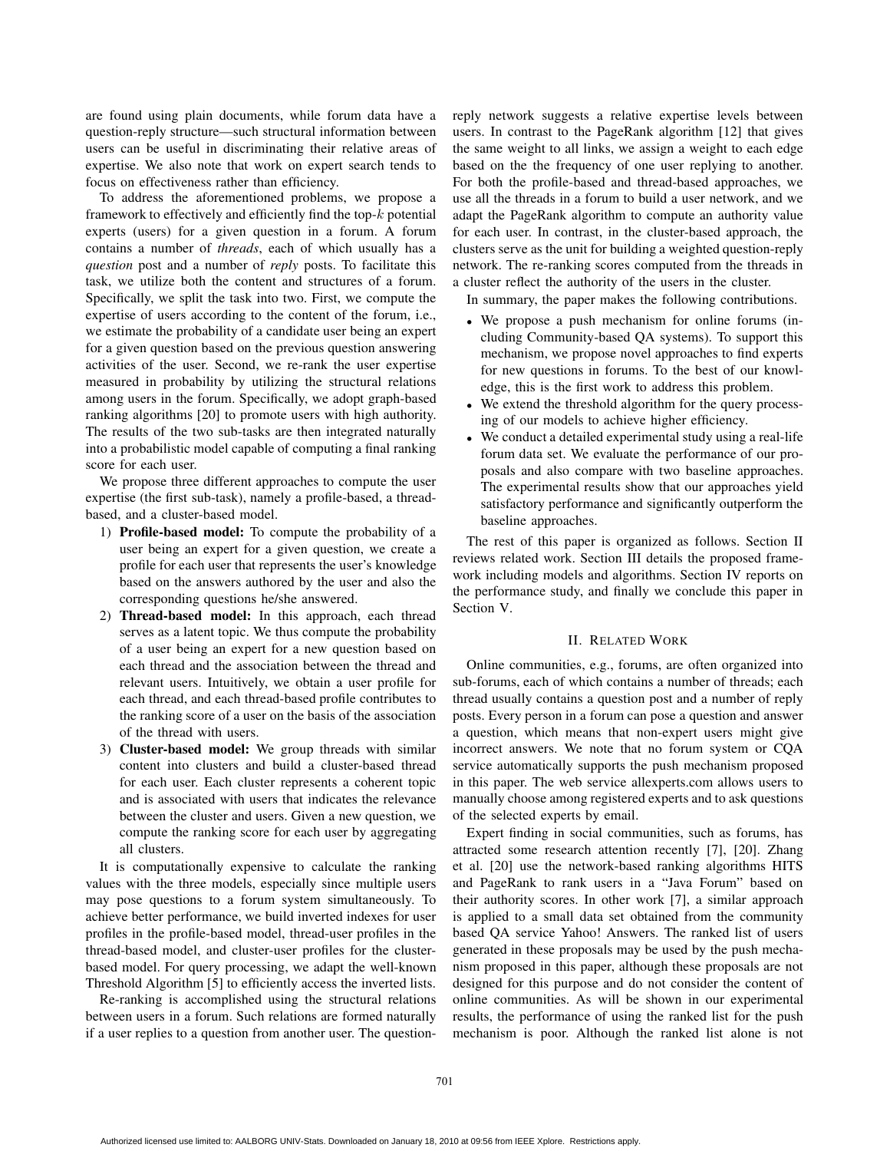are found using plain documents, while forum data have a question-reply structure—such structural information between users can be useful in discriminating their relative areas of expertise. We also note that work on expert search tends to focus on effectiveness rather than efficiency.

To address the aforementioned problems, we propose a framework to effectively and efficiently find the top- $k$  potential experts (users) for a given question in a forum. A forum contains a number of *threads*, each of which usually has a *question* post and a number of *reply* posts. To facilitate this task, we utilize both the content and structures of a forum. Specifically, we split the task into two. First, we compute the expertise of users according to the content of the forum, i.e., we estimate the probability of a candidate user being an expert for a given question based on the previous question answering activities of the user. Second, we re-rank the user expertise measured in probability by utilizing the structural relations among users in the forum. Specifically, we adopt graph-based ranking algorithms [20] to promote users with high authority. The results of the two sub-tasks are then integrated naturally into a probabilistic model capable of computing a final ranking score for each user.

We propose three different approaches to compute the user expertise (the first sub-task), namely a profile-based, a threadbased, and a cluster-based model.

- 1) **Profile-based model:** To compute the probability of a user being an expert for a given question, we create a profile for each user that represents the user's knowledge based on the answers authored by the user and also the corresponding questions he/she answered.
- 2) **Thread-based model:** In this approach, each thread serves as a latent topic. We thus compute the probability of a user being an expert for a new question based on each thread and the association between the thread and relevant users. Intuitively, we obtain a user profile for each thread, and each thread-based profile contributes to the ranking score of a user on the basis of the association of the thread with users.
- 3) **Cluster-based model:** We group threads with similar content into clusters and build a cluster-based thread for each user. Each cluster represents a coherent topic and is associated with users that indicates the relevance between the cluster and users. Given a new question, we compute the ranking score for each user by aggregating all clusters.

It is computationally expensive to calculate the ranking values with the three models, especially since multiple users may pose questions to a forum system simultaneously. To achieve better performance, we build inverted indexes for user profiles in the profile-based model, thread-user profiles in the thread-based model, and cluster-user profiles for the clusterbased model. For query processing, we adapt the well-known Threshold Algorithm [5] to efficiently access the inverted lists.

Re-ranking is accomplished using the structural relations between users in a forum. Such relations are formed naturally if a user replies to a question from another user. The questionreply network suggests a relative expertise levels between users. In contrast to the PageRank algorithm [12] that gives the same weight to all links, we assign a weight to each edge based on the the frequency of one user replying to another. For both the profile-based and thread-based approaches, we use all the threads in a forum to build a user network, and we adapt the PageRank algorithm to compute an authority value for each user. In contrast, in the cluster-based approach, the clusters serve as the unit for building a weighted question-reply network. The re-ranking scores computed from the threads in a cluster reflect the authority of the users in the cluster.

In summary, the paper makes the following contributions.

- We propose a push mechanism for online forums (including Community-based QA systems). To support this mechanism, we propose novel approaches to find experts for new questions in forums. To the best of our knowledge, this is the first work to address this problem.
- We extend the threshold algorithm for the query processing of our models to achieve higher efficiency.
- We conduct a detailed experimental study using a real-life forum data set. We evaluate the performance of our proposals and also compare with two baseline approaches. The experimental results show that our approaches yield satisfactory performance and significantly outperform the baseline approaches.

The rest of this paper is organized as follows. Section II reviews related work. Section III details the proposed framework including models and algorithms. Section IV reports on the performance study, and finally we conclude this paper in Section V.

## II. RELATED WORK

Online communities, e.g., forums, are often organized into sub-forums, each of which contains a number of threads; each thread usually contains a question post and a number of reply posts. Every person in a forum can pose a question and answer a question, which means that non-expert users might give incorrect answers. We note that no forum system or CQA service automatically supports the push mechanism proposed in this paper. The web service allexperts.com allows users to manually choose among registered experts and to ask questions of the selected experts by email.

Expert finding in social communities, such as forums, has attracted some research attention recently [7], [20]. Zhang et al. [20] use the network-based ranking algorithms HITS and PageRank to rank users in a "Java Forum" based on their authority scores. In other work [7], a similar approach is applied to a small data set obtained from the community based QA service Yahoo! Answers. The ranked list of users generated in these proposals may be used by the push mechanism proposed in this paper, although these proposals are not designed for this purpose and do not consider the content of online communities. As will be shown in our experimental results, the performance of using the ranked list for the push mechanism is poor. Although the ranked list alone is not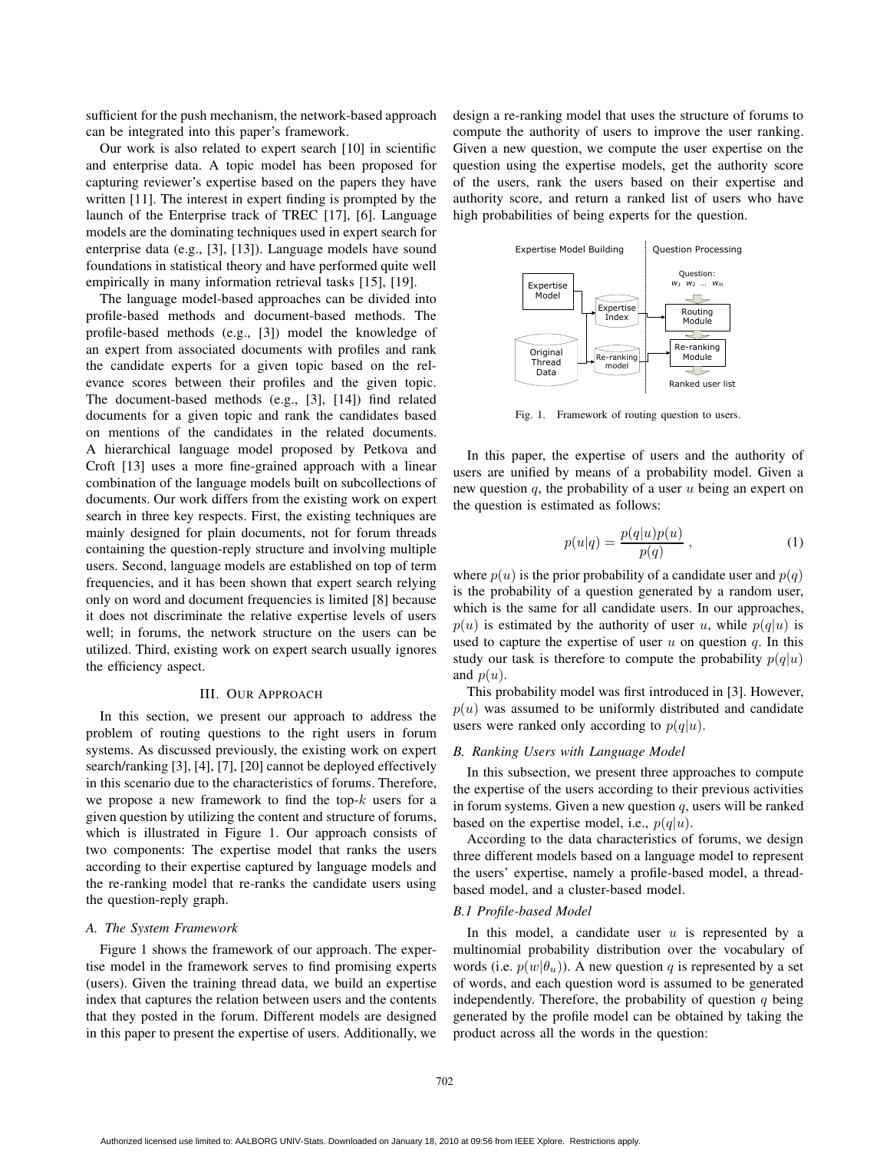sufficient for the push mechanism, the network-based approach can be integrated into this paper's framework.

Our work is also related to expert search [10] in scientific and enterprise data. A topic model has been proposed for capturing reviewer's expertise based on the papers they have written [11]. The interest in expert finding is prompted by the launch of the Enterprise track of TREC [17], [6]. Language models are the dominating techniques used in expert search for enterprise data (e.g., [3], [13]). Language models have sound foundations in statistical theory and have performed quite well empirically in many information retrieval tasks [15], [19].

The language model-based approaches can be divided into profile-based methods and document-based methods. The profile-based methods (e.g., [3]) model the knowledge of an expert from associated documents with profiles and rank the candidate experts for a given topic based on the relevance scores between their profiles and the given topic. The document-based methods (e.g., [3], [14]) find related documents for a given topic and rank the candidates based on mentions of the candidates in the related documents. A hierarchical language model proposed by Petkova and Croft [13] uses a more fine-grained approach with a linear combination of the language models built on subcollections of documents. Our work differs from the existing work on expert search in three key respects. First, the existing techniques are mainly designed for plain documents, not for forum threads containing the question-reply structure and involving multiple users. Second, language models are established on top of term frequencies, and it has been shown that expert search relying only on word and document frequencies is limited [8] because it does not discriminate the relative expertise levels of users well; in forums, the network structure on the users can be utilized. Third, existing work on expert search usually ignores the efficiency aspect.

## III. OUR APPROACH

In this section, we present our approach to address the problem of routing questions to the right users in forum systems. As discussed previously, the existing work on expert search/ranking [3], [4], [7], [20] cannot be deployed effectively in this scenario due to the characteristics of forums. Therefore, we propose a new framework to find the top- $k$  users for a given question by utilizing the content and structure of forums, which is illustrated in Figure 1. Our approach consists of two components: The expertise model that ranks the users according to their expertise captured by language models and the re-ranking model that re-ranks the candidate users using the question-reply graph.

## *A. The System Framework*

Figure 1 shows the framework of our approach. The expertise model in the framework serves to find promising experts (users). Given the training thread data, we build an expertise index that captures the relation between users and the contents that they posted in the forum. Different models are designed in this paper to present the expertise of users. Additionally, we

design a re-ranking model that uses the structure of forums to compute the authority of users to improve the user ranking. Given a new question, we compute the user expertise on the question using the expertise models, get the authority score of the users, rank the users based on their expertise and authority score, and return a ranked list of users who have high probabilities of being experts for the question.



Fig. 1. Framework of routing question to users.

In this paper, the expertise of users and the authority of users are unified by means of a probability model. Given a new question  $q$ , the probability of a user  $u$  being an expert on the question is estimated as follows:

$$
p(u|q) = \frac{p(q|u)p(u)}{p(q)},
$$
\n(1)

where  $p(u)$  is the prior probability of a candidate user and  $p(q)$ is the probability of a question generated by a random user, which is the same for all candidate users. In our approaches,  $p(u)$  is estimated by the authority of user u, while  $p(q|u)$  is used to capture the expertise of user  $u$  on question  $q$ . In this study our task is therefore to compute the probability  $p(q|u)$ and  $p(u)$ .

This probability model was first introduced in [3]. However,  $p(u)$  was assumed to be uniformly distributed and candidate users were ranked only according to  $p(q|u)$ .

## *B. Ranking Users with Language Model*

In this subsection, we present three approaches to compute the expertise of the users according to their previous activities in forum systems. Given a new question  $q$ , users will be ranked based on the expertise model, i.e.,  $p(q|u)$ .

According to the data characteristics of forums, we design three different models based on a language model to represent the users' expertise, namely a profile-based model, a threadbased model, and a cluster-based model.

## *B.1 Profile-based Model*

In this model, a candidate user  $u$  is represented by a multinomial probability distribution over the vocabulary of words (i.e.  $p(w|\theta_u)$ ). A new question q is represented by a set of words, and each question word is assumed to be generated independently. Therefore, the probability of question  $q$  being generated by the profile model can be obtained by taking the product across all the words in the question:

Authorized licensed use limited to: AALBORG UNIV-Stats. Downloaded on January 18, 2010 at 09:56 from IEEE Xplore. Restrictions apply.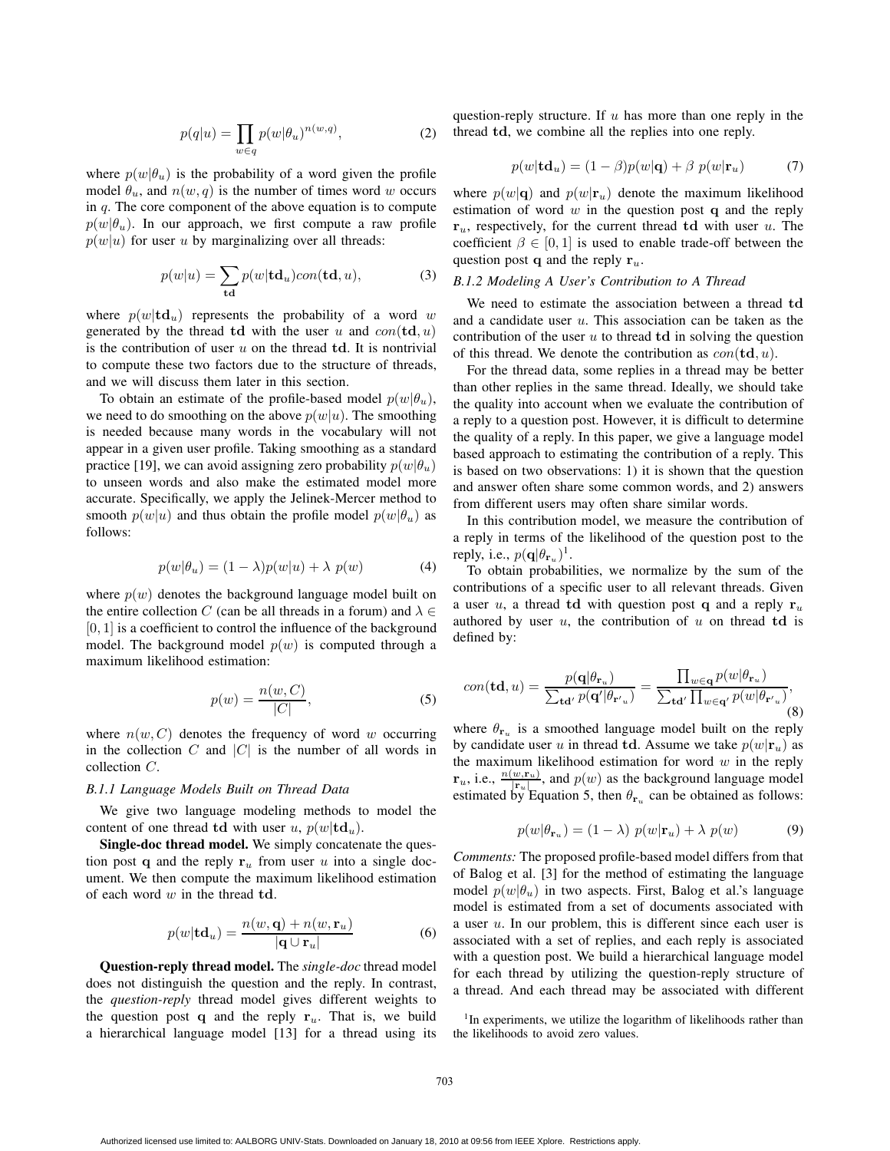$$
p(q|u) = \prod_{w \in q} p(w|\theta_u)^{n(w,q)}, \qquad (2)
$$

where  $p(w|\theta_u)$  is the probability of a word given the profile model  $\theta_u$ , and  $n(w, q)$  is the number of times word w occurs in  $q$ . The core component of the above equation is to compute  $p(w|\theta_u)$ . In our approach, we first compute a raw profile  $p(w|u)$  for user u by marginalizing over all threads:

$$
p(w|u) = \sum_{\text{td}} p(w|\text{td}_u)con(\text{td}, u), \tag{3}
$$

where  $p(w|\mathbf{td}_u)$  represents the probability of a word w generated by the thread **td** with the user u and  $con(\mathbf{td}, u)$ is the contribution of user u on the thread **td**. It is nontrivial to compute these two factors due to the structure of threads, and we will discuss them later in this section.

To obtain an estimate of the profile-based model  $p(w|\theta_u)$ , we need to do smoothing on the above  $p(w|u)$ . The smoothing is needed because many words in the vocabulary will not appear in a given user profile. Taking smoothing as a standard practice [19], we can avoid assigning zero probability  $p(w|\theta_u)$ to unseen words and also make the estimated model more accurate. Specifically, we apply the Jelinek-Mercer method to smooth  $p(w|u)$  and thus obtain the profile model  $p(w|\theta_u)$  as follows:

$$
p(w|\theta_u) = (1 - \lambda)p(w|u) + \lambda p(w)
$$
 (4)

where  $p(w)$  denotes the background language model built on the entire collection C (can be all threads in a forum) and  $\lambda \in$  $[0, 1]$  is a coefficient to control the influence of the background model. The background model  $p(w)$  is computed through a maximum likelihood estimation:

$$
p(w) = \frac{n(w, C)}{|C|},\tag{5}
$$

where  $n(w, C)$  denotes the frequency of word w occurring in the collection  $C$  and  $|C|$  is the number of all words in collection C.

## *B.1.1 Language Models Built on Thread Data*

We give two language modeling methods to model the content of one thread **td** with user u,  $p(w|\mathbf{td}_u)$ .

**Single-doc thread model.** We simply concatenate the question post **q** and the reply  $\mathbf{r}_u$  from user u into a single document. We then compute the maximum likelihood estimation of each word w in the thread **td**.

$$
p(w|\mathbf{td}_u) = \frac{n(w, \mathbf{q}) + n(w, \mathbf{r}_u)}{|\mathbf{q} \cup \mathbf{r}_u|}
$$
(6)

**Question-reply thread model.** The *single-doc* thread model does not distinguish the question and the reply. In contrast, the *question-reply* thread model gives different weights to the question post **q** and the reply  $\mathbf{r}_u$ . That is, we build a hierarchical language model [13] for a thread using its question-reply structure. If  $u$  has more than one reply in the thread **td**, we combine all the replies into one reply.

$$
p(w|\mathbf{td}_u) = (1-\beta)p(w|\mathbf{q}) + \beta p(w|\mathbf{r}_u)
$$
 (7)

where  $p(w|\mathbf{q})$  and  $p(w|\mathbf{r}_u)$  denote the maximum likelihood estimation of word  $w$  in the question post  $q$  and the reply  $\mathbf{r}_u$ , respectively, for the current thread **td** with user u. The coefficient  $\beta \in [0, 1]$  is used to enable trade-off between the question post **q** and the reply **r***u*.

## *B.1.2 Modeling A User's Contribution to A Thread*

We need to estimate the association between a thread **td** and a candidate user u. This association can be taken as the contribution of the user  $u$  to thread  $\mathbf{td}$  in solving the question of this thread. We denote the contribution as  $con(\mathbf{td}, u)$ .

For the thread data, some replies in a thread may be better than other replies in the same thread. Ideally, we should take the quality into account when we evaluate the contribution of a reply to a question post. However, it is difficult to determine the quality of a reply. In this paper, we give a language model based approach to estimating the contribution of a reply. This is based on two observations: 1) it is shown that the question and answer often share some common words, and 2) answers from different users may often share similar words.

In this contribution model, we measure the contribution of a reply in terms of the likelihood of the question post to the reply, i.e.,  $p(\mathbf{q}|\theta_{\mathbf{r}_u})^{\text{T}}$ .

To obtain probabilities, we normalize by the sum of the contributions of a specific user to all relevant threads. Given a user *u*, a thread **td** with question post **q** and a reply  $\mathbf{r}_u$ authored by user  $u$ , the contribution of  $u$  on thread  $\mathbf{td}$  is defined by:

$$
con(\mathbf{td}, u) = \frac{p(\mathbf{q}|\theta_{\mathbf{r}_u})}{\sum_{\mathbf{td'}} p(\mathbf{q}'|\theta_{\mathbf{r}'u})} = \frac{\prod_{w \in \mathbf{q}} p(w|\theta_{\mathbf{r}_u})}{\sum_{\mathbf{td'}} \prod_{w \in \mathbf{q}'} p(w|\theta_{\mathbf{r}'u})},
$$
(8)

where  $\theta_{\mathbf{r}_u}$  is a smoothed language model built on the reply by candidate user u in thread **td**. Assume we take  $p(w|\mathbf{r}_u)$  as the maximum likelihood estimation for word  $w$  in the reply  $\mathbf{r}_u$ , i.e.,  $\frac{n(w,\mathbf{r}_u)}{|\mathbf{r}_u|}$ , and  $p(w)$  as the background language model estimated by Equation 5, then  $\theta_{\mathbf{r}_u}$  can be obtained as follows:

$$
p(w|\theta_{\mathbf{r}_u}) = (1 - \lambda) p(w|\mathbf{r}_u) + \lambda p(w)
$$
 (9)

*Comments:* The proposed profile-based model differs from that of Balog et al. [3] for the method of estimating the language model  $p(w|\theta_u)$  in two aspects. First, Balog et al.'s language model is estimated from a set of documents associated with a user  $u$ . In our problem, this is different since each user is associated with a set of replies, and each reply is associated with a question post. We build a hierarchical language model for each thread by utilizing the question-reply structure of a thread. And each thread may be associated with different

<sup>1</sup>In experiments, we utilize the logarithm of likelihoods rather than the likelihoods to avoid zero values.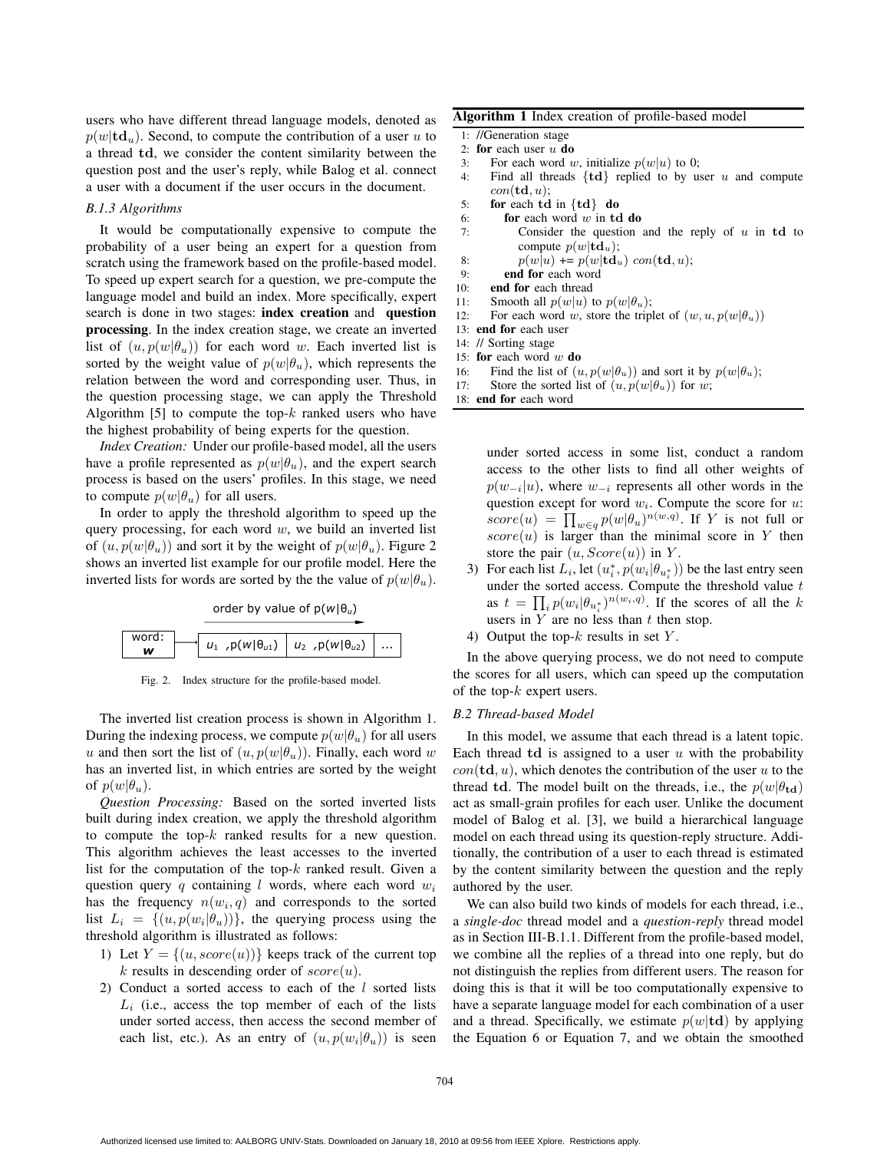users who have different thread language models, denoted as  $p(w|\mathbf{td}_u)$ . Second, to compute the contribution of a user u to a thread **td**, we consider the content similarity between the question post and the user's reply, while Balog et al. connect a user with a document if the user occurs in the document.

## *B.1.3 Algorithms*

It would be computationally expensive to compute the probability of a user being an expert for a question from scratch using the framework based on the profile-based model. To speed up expert search for a question, we pre-compute the language model and build an index. More specifically, expert search is done in two stages: **index creation** and **question processing**. In the index creation stage, we create an inverted list of  $(u, p(w|\theta_u))$  for each word w. Each inverted list is sorted by the weight value of  $p(w|\theta_u)$ , which represents the relation between the word and corresponding user. Thus, in the question processing stage, we can apply the Threshold Algorithm [5] to compute the top- $k$  ranked users who have the highest probability of being experts for the question.

*Index Creation:* Under our profile-based model, all the users have a profile represented as  $p(w|\theta_u)$ , and the expert search process is based on the users' profiles. In this stage, we need to compute  $p(w|\theta_u)$  for all users.

In order to apply the threshold algorithm to speed up the query processing, for each word  $w$ , we build an inverted list of  $(u, p(w|\theta_u))$  and sort it by the weight of  $p(w|\theta_u)$ . Figure 2 shows an inverted list example for our profile model. Here the inverted lists for words are sorted by the the value of  $p(w|\theta_u)$ .



Fig. 2. Index structure for the profile-based model.

The inverted list creation process is shown in Algorithm 1. During the indexing process, we compute  $p(w|\theta_u)$  for all users u and then sort the list of  $(u, p(w|\theta_u))$ . Finally, each word w has an inverted list, in which entries are sorted by the weight of  $p(w|\theta_u)$ .

*Question Processing:* Based on the sorted inverted lists built during index creation, we apply the threshold algorithm to compute the top- $k$  ranked results for a new question. This algorithm achieves the least accesses to the inverted list for the computation of the top- $k$  ranked result. Given a question query q containing  $l$  words, where each word  $w_i$ has the frequency  $n(w_i, q)$  and corresponds to the sorted list  $L_i = \{(u, p(w_i|\theta_u))\}$ , the querying process using the threshold algorithm is illustrated as follows:

- 1) Let  $Y = \{(u, score(u))\}$  keeps track of the current top k results in descending order of  $score(u)$ .
- 2) Conduct a sorted access to each of the  $l$  sorted lists  $L_i$  (i.e., access the top member of each of the lists under sorted access, then access the second member of each list, etc.). As an entry of  $(u, p(w_i | \theta_u))$  is seen

#### **Algorithm 1** Index creation of profile-based model

- 1: //Generation stage
- 2: **for** each user u **do**
- 3: For each word w, initialize  $p(w|u)$  to 0;<br>4: Find all threads  $\{td\}$  replied to by us
- Find all threads  $\{td\}$  replied to by user u and compute  $con(\mathbf{td},u);$
- 5: **for** each **td** in  $\{td\}$  **do**<br>6: **for** each word *w* in **t**d
- 6: **for** each word w in **td do**
- 7: Consider the question and the reply of u in **td** to compute  $p(w|\mathbf{td}_u)$ ;
- 8:  $p(w|u) \mathrel{+}= p(w|\mathbf{td}_u) \; \text{con}(\mathbf{td}, u);$ <br>9: **end for** each word
- 9: **end for** each word
- 10: **end for** each thread
- 11: Smooth all  $p(w|u)$  to  $p(w|\theta_u)$ ;<br>12: For each word *w*, store the tripl
- For each word w, store the triplet of  $(w, u, p(w|\theta_u))$
- 13: **end for** each user
- 14: // Sorting stage
- 15: **for** each word w **do**
- 16: Find the list of  $(u, p(w|\theta_u))$  and sort it by  $p(w|\theta_u)$ ;<br>17: Store the sorted list of  $(u, p(w|\theta_u))$  for w:
- Store the sorted list of  $(u, p(w|\theta_u))$  for w;
- 18: **end for** each word

under sorted access in some list, conduct a random access to the other lists to find all other weights of  $p(w_{-i}|u)$ , where  $w_{-i}$  represents all other words in the question except for word w*i*. Compute the score for u:  $score(u) = \prod_{w \in q} p(w|\theta_u)^{n(w,q)}$ . If Y is not full or  $score(u)$  is larger than the minimal score in Y then store the pair  $(u, Score(u))$  in Y.

- 3) For each list  $L_i$ , let  $(u_i^*, p(w_i | \theta_{u_i^*}))$  be the last entry seen<br>under the sorted access. Compute the threshold value to under the sorted access. Compute the threshold value  $t$ as  $t = \prod_i p(w_i|\theta_{u_i^*})^{n(w_i,q)}$ . If the scores of all the k<br>users in  $Y$  are no less than t then stop users in  $Y$  are no less than  $t$  then stop.
- 4) Output the top- $k$  results in set Y.

In the above querying process, we do not need to compute the scores for all users, which can speed up the computation of the top- $k$  expert users.

#### *B.2 Thread-based Model*

In this model, we assume that each thread is a latent topic. Each thread **td** is assigned to a user  $u$  with the probability  $con(\mathbf{td}, u)$ , which denotes the contribution of the user u to the thread **td**. The model built on the threads, i.e., the  $p(w|\theta_{td})$ act as small-grain profiles for each user. Unlike the document model of Balog et al. [3], we build a hierarchical language model on each thread using its question-reply structure. Additionally, the contribution of a user to each thread is estimated by the content similarity between the question and the reply authored by the user.

We can also build two kinds of models for each thread, i.e., a *single-doc* thread model and a *question-reply* thread model as in Section III-B.1.1. Different from the profile-based model, we combine all the replies of a thread into one reply, but do not distinguish the replies from different users. The reason for doing this is that it will be too computationally expensive to have a separate language model for each combination of a user and a thread. Specifically, we estimate  $p(w|\mathbf{td})$  by applying the Equation 6 or Equation 7, and we obtain the smoothed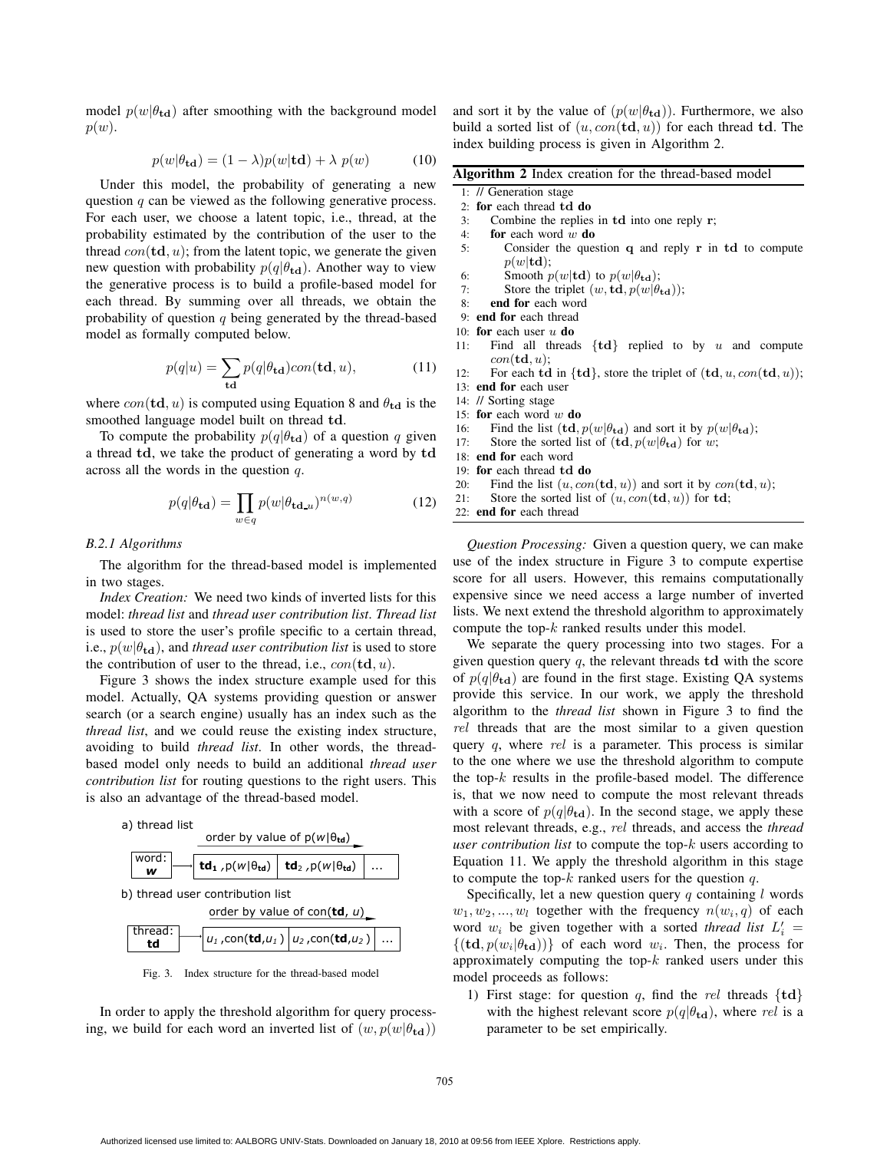model  $p(w|\theta_{\text{td}})$  after smoothing with the background model  $p(w)$ .

$$
p(w|\theta_{\text{td}}) = (1 - \lambda)p(w|\text{td}) + \lambda p(w) \tag{10}
$$

Under this model, the probability of generating a new question  $q$  can be viewed as the following generative process. For each user, we choose a latent topic, i.e., thread, at the probability estimated by the contribution of the user to the thread  $con(\mathbf{td}, u)$ ; from the latent topic, we generate the given new question with probability  $p(q|\theta_{\text{td}})$ . Another way to view the generative process is to build a profile-based model for each thread. By summing over all threads, we obtain the probability of question  $q$  being generated by the thread-based model as formally computed below.

$$
p(q|u) = \sum_{\mathbf{td}} p(q|\theta_{\mathbf{td}})con(\mathbf{td}, u), \tag{11}
$$

where  $con(\mathbf{td}, u)$  is computed using Equation 8 and  $\theta_{\mathbf{td}}$  is the smoothed language model built on thread **td**.

To compute the probability  $p(q|\theta_{td})$  of a question q given a thread **td**, we take the product of generating a word by **td** across all the words in the question  $q$ .

$$
p(q|\theta_{\text{td}}) = \prod_{w \in q} p(w|\theta_{\text{td}_w})^{n(w,q)} \tag{12}
$$

#### *B.2.1 Algorithms*

The algorithm for the thread-based model is implemented in two stages.

*Index Creation:* We need two kinds of inverted lists for this model: *thread list* and *thread user contribution list*. *Thread list* is used to store the user's profile specific to a certain thread, i.e.,  $p(w|\theta_{\text{td}})$ , and *thread user contribution list* is used to store the contribution of user to the thread, i.e.,  $con(\mathbf{td}, u)$ .

Figure 3 shows the index structure example used for this model. Actually, QA systems providing question or answer search (or a search engine) usually has an index such as the *thread list*, and we could reuse the existing index structure, avoiding to build *thread list*. In other words, the threadbased model only needs to build an additional *thread user contribution list* for routing questions to the right users. This is also an advantage of the thread-based model.



Fig. 3. Index structure for the thread-based model

In order to apply the threshold algorithm for query processing, we build for each word an inverted list of  $(w, p(w|\theta_{td}))$  and sort it by the value of  $(p(w|\theta_{\text{td}}))$ . Furthermore, we also build a sorted list of (u, con(**td**, u)) for each thread **td**. The index building process is given in Algorithm 2.

|  |  |  |  | Algorithm 2 Index creation for the thread-based model |  |
|--|--|--|--|-------------------------------------------------------|--|
|--|--|--|--|-------------------------------------------------------|--|

1: // Generation stage

- 2: **for** each thread **td do**
- 3: Combine the replies in **td** into one reply **r**;
- 4: **for** each word w **do**
- 5: Consider the question **q** and reply **r** in **td** to compute  $p(w|{\bf td});$
- 6: Smooth  $p(w|\mathbf{td})$  to  $p(w|\theta_{\mathbf{td}})$ ;<br>7: Store the triplet  $(w, \mathbf{td}, p(w|\theta_{\mathbf{td}})))$
- 7: Store the triplet  $(w, \mathbf{td}, p(w|\theta_{\mathbf{td}}));$ <br>8: **end for** each word

end for each word

- 9: **end for** each thread
- 10: **for** each user u **do**
- 11: Find all threads *{***td***}* replied to by <sup>u</sup> and compute  $con(\mathbf{td},u);$
- 12: For each **td** in  $\{\mathbf{td}\}$ , store the triplet of  $(\mathbf{td}, u, con(\mathbf{td}, u))$ ;

13: **end for** each user

14: // Sorting stage

- 15: **for** each word w **do**
- 16: Find the list  $(\mathbf{td}, p(w|\theta_{\mathbf{td}}))$  and sort it by  $p(w|\theta_{\mathbf{td}})$ ;<br>17: Store the sorted list of  $(\mathbf{td}, p(w|\theta_{\mathbf{td}}))$  for w;
- 17: Store the sorted list of  $(\mathbf{td}, p(w|\theta_{\mathbf{td}}))$  for w;<br>18: **end for** each word
- **end for** each word
- 19: **for** each thread **td do**
- 20: Find the list  $(u, con(\mathbf{td}, u))$  and sort it by  $con(\mathbf{td}, u)$ ;
- 21: Store the sorted list of  $(u, con(t\mathbf{d}, u))$  for  $\mathbf{td}$ ;

22: **end for** each thread

*Question Processing:* Given a question query, we can make use of the index structure in Figure 3 to compute expertise score for all users. However, this remains computationally expensive since we need access a large number of inverted lists. We next extend the threshold algorithm to approximately compute the top- $k$  ranked results under this model.

We separate the query processing into two stages. For a given question query q, the relevant threads **td** with the score of  $p(q|\theta_{\text{td}})$  are found in the first stage. Existing QA systems provide this service. In our work, we apply the threshold algorithm to the *thread list* shown in Figure 3 to find the *rel* threads that are the most similar to a given question query q, where *rel* is a parameter. This process is similar to the one where we use the threshold algorithm to compute the top- $k$  results in the profile-based model. The difference is, that we now need to compute the most relevant threads with a score of  $p(q|\theta_{\text{td}})$ . In the second stage, we apply these most relevant threads, e.g., *rel* threads, and access the *thread user contribution list* to compute the top-k users according to Equation 11. We apply the threshold algorithm in this stage to compute the top- $k$  ranked users for the question  $q$ .

Specifically, let a new question query  $q$  containing  $l$  words  $w_1, w_2, ..., w_l$  together with the frequency  $n(w_i, q)$  of each word  $w_i$  be given together with a sorted *thread list*  $L'_i$  =  $\{(\mathbf{td}, p(w_i|\theta_{\mathbf{td}}))\}$  of each word  $w_i$ . Then, the process for<br>approximately computing the top-k ranked users under this approximately computing the top- $k$  ranked users under this model proceeds as follows:

1) First stage: for question q, find the *rel* threads  $\{td\}$ with the highest relevant score  $p(q|\theta_{td})$ , where *rel* is a parameter to be set empirically.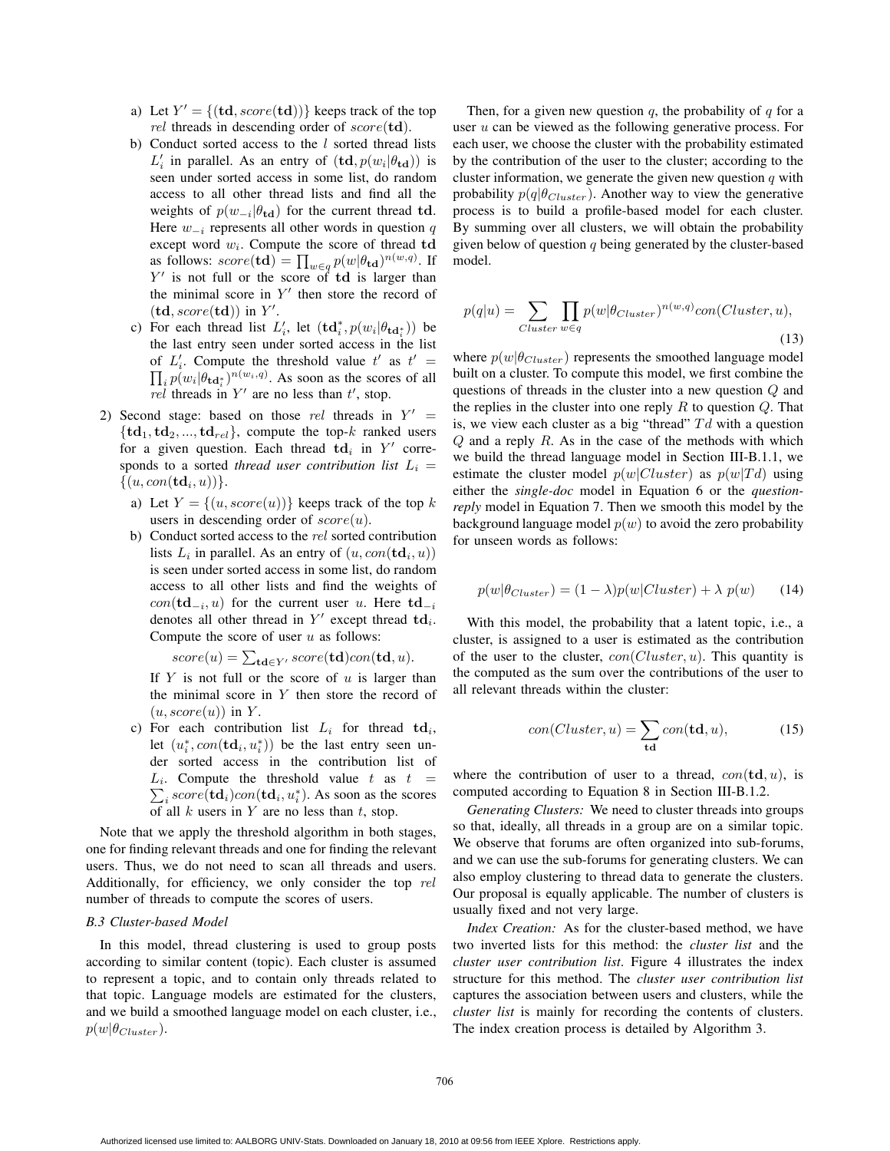- a) Let  $Y' = \{(\text{td}, score(\text{td}))\}$  keeps track of the top *rel* threads in descending order of score(**td**).
- b) Conduct sorted access to the  $l$  sorted thread lists  $L'_i$  in parallel. As an entry of  $(\mathbf{td}, p(w_i|\theta_{\mathbf{td}}))$  is<br>seen under sorted access in some list do random seen under sorted access in some list, do random access to all other thread lists and find all the weights of  $p(w_{-i}|\theta_{td})$  for the current thread **td**. Here  $w_{-i}$  represents all other words in question q except word w*i*. Compute the score of thread **td** as follows:  $score(\mathbf{td}) = \prod_{w \in q} p(w|\theta_{\mathbf{td}})^{n(w,q)}$ . If  $Y'$  is not full or the score of **td** is larger than the minimal score in  $Y'$  then store the record of  $(\mathbf{td}, \textit{score}(\mathbf{td}))$  in Y'.<br>For each thread list I
- c) For each thread list  $L'_i$ , let  $(\mathbf{td}_i^*, p(w_i|\theta_{\mathbf{td}_i^*}))$  be the last entry seen under sorted access in the list the last entry seen under sorted access in the list of  $L'_i$ . Compute the threshold value  $t'$  as  $t'$ of  $L'_i$ . Compute the threshold value  $t'$  as  $t' = \prod_i p(w_i|\theta_{\mathbf{td}_i^*})^{n(w_i,q)}$ . As soon as the scores of all  $rel$  threads in  $V'$  are no less than  $t'$  ston *rel* threads in  $Y'$  are no less than  $t'$ , stop.
- 2) Second stage: based on those  $rel$  threads in  $Y' =$  ${\{\mathbf{td}_1, \mathbf{td}_2, ..., \mathbf{td}_{rel}\}}$ , compute the top-k ranked users for a given question. Each thread  $\mathbf{td}_i$  in Y' corresponds to a sorted *thread user contribution list*  $L_i$  =  $\{(u, con(\mathbf{td}_i, u))\}.$ 
	- a) Let  $Y = \{(u, score(u))\}$  keeps track of the top k users in descending order of  $score(u)$ .
	- b) Conduct sorted access to the *rel* sorted contribution lists  $L_i$  in parallel. As an entry of  $(u, con(\mathbf{td}_i, u))$ is seen under sorted access in some list, do random access to all other lists and find the weights of  $con(\mathbf{td}_{-i}, u)$  for the current user u. Here  $\mathbf{td}_{-i}$ denotes all other thread in  $Y'$  except thread  $\mathbf{td}_i$ . Compute the score of user  $u$  as follows:

$$
score(u) = \sum_{\mathbf{td} \in Y'} score(\mathbf{td})con(\mathbf{td}, u).
$$

 $score(u) = \sum_{\textbf{td} \in Y'} score(\textbf{td})con(\textbf{td}, u).$ <br>If Y is not full or the score of u is larger than the minimal score in  $Y$  then store the record of  $(u, score(u))$  in Y.

c) For each contribution list  $L_i$  for thread  $\mathbf{td}_i$ , let  $(u_i^*, con(\mathbf{td}_i, u_i^*))$  be the last entry seen un-<br>der sorted access in the contribution list of der sorted access in the contribution list of  $L_i$ . Compute the threshold value t as t  $L_i$ . Compute the threshold value t as  $t = \sum_i score(\mathbf{td}_i)con(\mathbf{td}_i, u_i^*)$ . As soon as the scores  $\sum_i score(\mathbf{td}_i)con(\mathbf{td}_i, u_i^*)$ . As soon as the scores of all k users in Y are no less than t, stop.

Note that we apply the threshold algorithm in both stages, one for finding relevant threads and one for finding the relevant users. Thus, we do not need to scan all threads and users. Additionally, for efficiency, we only consider the top *rel* number of threads to compute the scores of users.

#### *B.3 Cluster-based Model*

In this model, thread clustering is used to group posts according to similar content (topic). Each cluster is assumed to represent a topic, and to contain only threads related to that topic. Language models are estimated for the clusters, and we build a smoothed language model on each cluster, i.e.,  $p(w|\theta_{Cluster})$ .

Then, for a given new question q, the probability of  $q$  for a user  $u$  can be viewed as the following generative process. For each user, we choose the cluster with the probability estimated by the contribution of the user to the cluster; according to the cluster information, we generate the given new question  $q$  with probability  $p(q|\theta_{Cluster})$ . Another way to view the generative process is to build a profile-based model for each cluster. By summing over all clusters, we will obtain the probability given below of question  $q$  being generated by the cluster-based model.

$$
p(q|u) = \sum_{Cluster \ w \in q} \prod_{w \in q} p(w|\theta_{Cluster})^{n(w,q)} con(Cluster, u),
$$
\n(13)

where  $p(w|\theta_{Cluster})$  represents the smoothed language model built on a cluster. To compute this model, we first combine the questions of threads in the cluster into a new question Q and the replies in the cluster into one reply  $R$  to question  $Q$ . That is, we view each cluster as a big "thread"  $Td$  with a question  $Q$  and a reply  $R$ . As in the case of the methods with which we build the thread language model in Section III-B.1.1, we estimate the cluster model  $p(w|Cluster)$  as  $p(w|Td)$  using either the *single-doc* model in Equation 6 or the *questionreply* model in Equation 7. Then we smooth this model by the background language model  $p(w)$  to avoid the zero probability for unseen words as follows:

$$
p(w|\theta_{Cluster}) = (1 - \lambda)p(w|Cluster) + \lambda p(w)
$$
 (14)

With this model, the probability that a latent topic, i.e., a cluster, is assigned to a user is estimated as the contribution of the user to the cluster,  $con(Cluster, u)$ . This quantity is the computed as the sum over the contributions of the user to all relevant threads within the cluster:

$$
con(Cluster, u) = \sum_{\text{td}} con(\text{td}, u), \tag{15}
$$

where the contribution of user to a thread,  $con(\mathbf{td}, u)$ , is computed according to Equation 8 in Section III-B.1.2.

*Generating Clusters:* We need to cluster threads into groups so that, ideally, all threads in a group are on a similar topic. We observe that forums are often organized into sub-forums, and we can use the sub-forums for generating clusters. We can also employ clustering to thread data to generate the clusters. Our proposal is equally applicable. The number of clusters is usually fixed and not very large.

*Index Creation:* As for the cluster-based method, we have two inverted lists for this method: the *cluster list* and the *cluster user contribution list*. Figure 4 illustrates the index structure for this method. The *cluster user contribution list* captures the association between users and clusters, while the *cluster list* is mainly for recording the contents of clusters. The index creation process is detailed by Algorithm 3.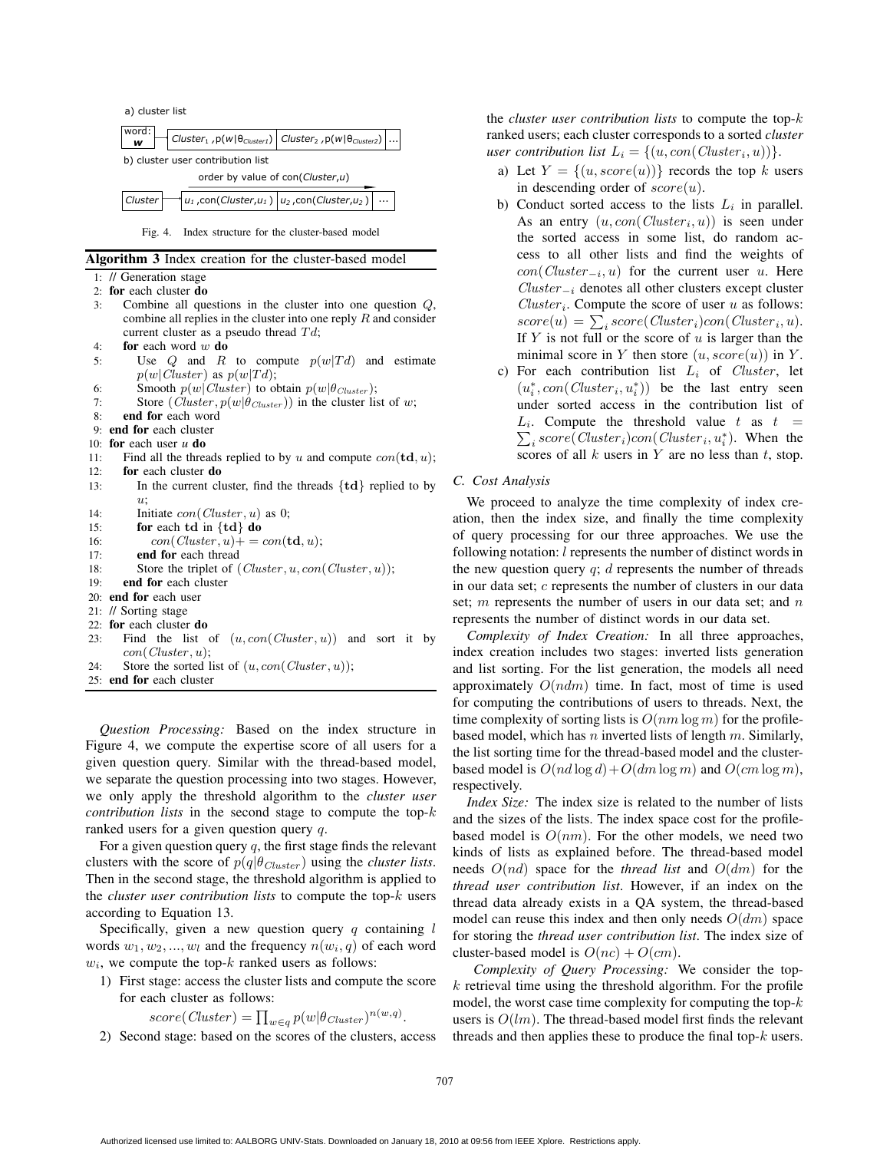

Fig. 4. Index structure for the cluster-based model

**Algorithm 3** Index creation for the cluster-based model

1: // Generation stage

2: **for** each cluster **do**

- 3: Combine all questions in the cluster into one question Q, combine all replies in the cluster into one reply R and consider current cluster as a pseudo thread  $Td$ ;
- 4: **for** each word w **do**
- 5: Use  $Q$  and  $R$  to compute  $p(w|T d)$  and estimate  $p(w|Cluster)$  as  $p(w|Td)$ ;
- 6: Smooth  $p(w|Cluster)$  to obtain  $p(w|\theta_{Cluster})$ ;<br>7: Store (*Cluster*,  $p(w|\theta_{Cluster})$ ) in the cluster lis
- 7: Store (*Cluster*,  $p(w|\theta_{Cluster})$ ) in the cluster list of w;<br>8. **end for** each word
- end for each word
- 9: **end for** each cluster
- 10: **for** each user *u* **do**
- 11: Find all the threads replied to by u and compute  $con(\mathbf{td}, u)$ ;
- 12: **for** each cluster **do**
- 13: In the current cluster, find the threads *{***td***}* replied to by  $u$ :
- 14: Initiate *con*(*Cluster*, *u*) as 0;
- 15: **for** each **td** in  $\{\textbf{td}\}\ \textbf{do}$ <br>16:  $con(Cluster, u) + = e$
- $con(Cluster, u) += con(\mathbf{td}, u);$
- 17: **end for** each thread
- 18: Store the triplet of  $(Cluster, u, con(Cluster, u))$ ;
- 19: **end for** each cluster
- 20: **end for** each user
- 21: // Sorting stage
- 22: **for** each cluster **do**
- 23: Find the list of  $(u, con(Cluster, u))$  and sort it by con(*Cluster* , u);
- 24: Store the sorted list of  $(u, con(Cluster, u))$ ;
- 25: **end for** each cluster

*Question Processing:* Based on the index structure in Figure 4, we compute the expertise score of all users for a given question query. Similar with the thread-based model, we separate the question processing into two stages. However, we only apply the threshold algorithm to the *cluster user contribution lists* in the second stage to compute the top-k ranked users for a given question query  $q$ .

For a given question query  $q$ , the first stage finds the relevant clusters with the score of  $p(q|\theta_{Cluster})$  using the *cluster lists*. Then in the second stage, the threshold algorithm is applied to the *cluster user contribution lists* to compute the top-k users according to Equation 13.

Specifically, given a new question query  $q$  containing  $l$ words  $w_1, w_2, ..., w_l$  and the frequency  $n(w_i, q)$  of each word  $w_i$ , we compute the top- $k$  ranked users as follows:

1) First stage: access the cluster lists and compute the score for each cluster as follows:

score(*Cluster*) = 
$$
\prod_{w \in a} p(w|\theta_{Cluster})^{n(w,q)}
$$
.

score(*Cluster*) =  $\prod_{w \in q} p(w|\theta_{Cluster})^{n(w,q)}$ .<br>
2) Second stage: based on the scores of the clusters, access

the *cluster user contribution lists* to compute the top-k ranked users; each cluster corresponds to a sorted *cluster user contribution list*  $L_i = \{(u, con(Cluster_i, u))\}.$ 

- a) Let  $Y = \{(u, score(u))\}$  records the top k users in descending order of  $score(u)$ .
- b) Conduct sorted access to the lists  $L_i$  in parallel. As an entry  $(u, con(Cluster<sub>i</sub>, u))$  is seen under the sorted access in some list, do random access to all other lists and find the weights of  $con(Cluster_{-i}, u)$  for the current user u. Here *Cluster* <sup>−</sup>*<sup>i</sup>* denotes all other clusters except cluster *Cluster<sub>i</sub>*. Compute the score of user  $u$  as follows:  $score(u) = \sum_{i} score(Cluster_i)con(Cluster_i, u).$ <br>If Y is not full or the score of u is larger than the If  $Y$  is not full or the score of  $u$  is larger than the minimal score in Y then store  $(u, score(u))$  in Y.
- c) For each contribution list L*<sup>i</sup>* of *Cluster*, let  $(u_i^*, con(Cluster_i, u_i^*))$  be the last entry seen<br>under sorted access in the contribution list of under sorted access in the contribution list of  $L_i$ . Compute the threshold value t as  $t = \sum$  score(Cluster.)con(Cluster. u<sup>\*</sup>) When the  $\sum_i score(Cluster_i)con(Cluster_i, u_i^*)$ . When the scores of all  $k$  users in  $Y$  are no less than  $t$ , stop.

#### *C. Cost Analysis*

We proceed to analyze the time complexity of index creation, then the index size, and finally the time complexity of query processing for our three approaches. We use the following notation: *l* represents the number of distinct words in the new question query  $q$ ;  $d$  represents the number of threads in our data set; c represents the number of clusters in our data set; m represents the number of users in our data set; and  $n$ represents the number of distinct words in our data set.

*Complexity of Index Creation:* In all three approaches, index creation includes two stages: inverted lists generation and list sorting. For the list generation, the models all need approximately  $O(ndm)$  time. In fact, most of time is used for computing the contributions of users to threads. Next, the time complexity of sorting lists is  $O(nm \log m)$  for the profilebased model, which has  $n$  inverted lists of length  $m$ . Similarly, the list sorting time for the thread-based model and the clusterbased model is  $O(nd \log d) + O(dm \log m)$  and  $O(cm \log m)$ , respectively.

*Index Size:* The index size is related to the number of lists and the sizes of the lists. The index space cost for the profilebased model is  $O(nm)$ . For the other models, we need two kinds of lists as explained before. The thread-based model needs <sup>O</sup>(nd) space for the *thread list* and <sup>O</sup>(dm) for the *thread user contribution list*. However, if an index on the thread data already exists in a QA system, the thread-based model can reuse this index and then only needs  $O(dm)$  space for storing the *thread user contribution list*. The index size of cluster-based model is  $O(nc) + O(cm)$ .

*Complexity of Query Processing:* We consider the top $k$  retrieval time using the threshold algorithm. For the profile model, the worst case time complexity for computing the top- $k$ users is  $O(lm)$ . The thread-based model first finds the relevant threads and then applies these to produce the final top- $k$  users.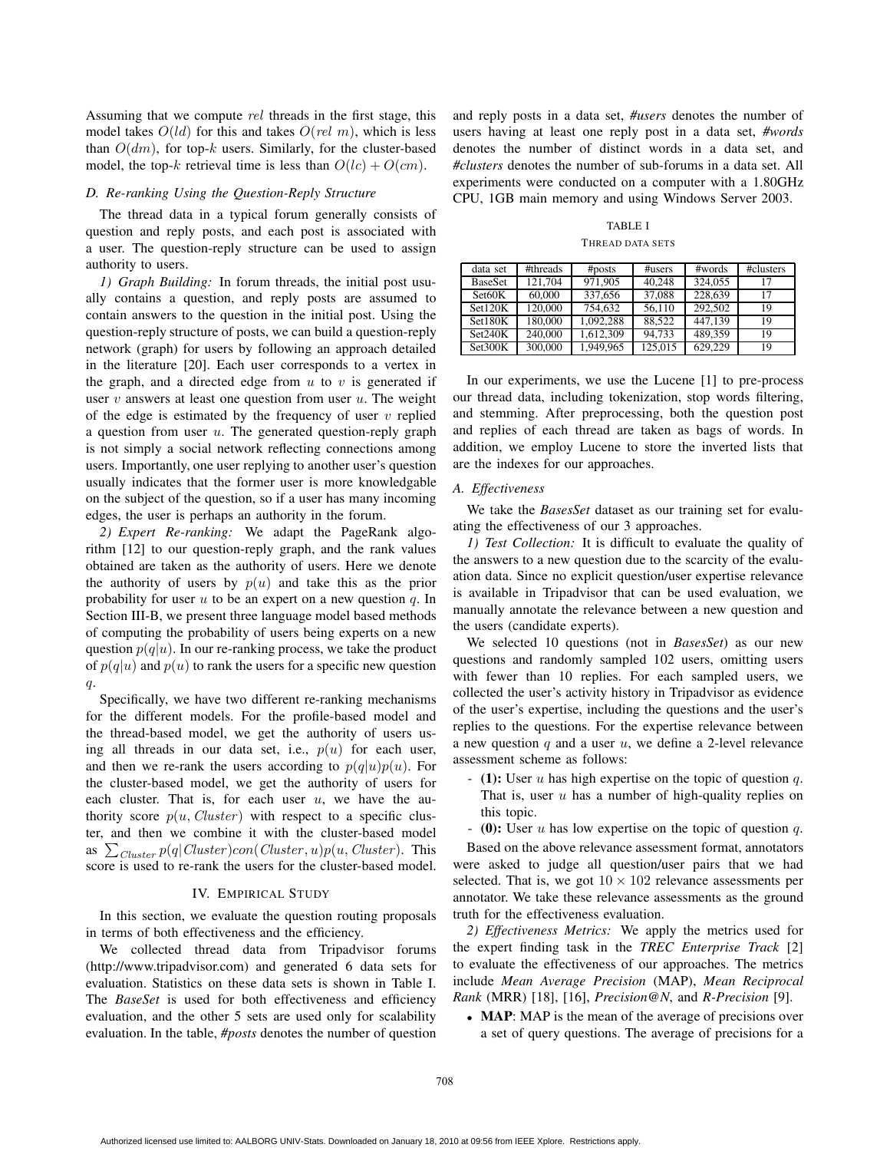Assuming that we compute *rel* threads in the first stage, this model takes <sup>O</sup>(ld) for this and takes <sup>O</sup>(*rel* <sup>m</sup>), which is less than  $O(dm)$ , for top-k users. Similarly, for the cluster-based model, the top-k retrieval time is less than  $O(lc) + O(cm)$ .

#### *D. Re-ranking Using the Question-Reply Structure*

The thread data in a typical forum generally consists of question and reply posts, and each post is associated with a user. The question-reply structure can be used to assign authority to users.

*1) Graph Building:* In forum threads, the initial post usually contains a question, and reply posts are assumed to contain answers to the question in the initial post. Using the question-reply structure of posts, we can build a question-reply network (graph) for users by following an approach detailed in the literature [20]. Each user corresponds to a vertex in the graph, and a directed edge from  $u$  to  $v$  is generated if user  $v$  answers at least one question from user  $u$ . The weight of the edge is estimated by the frequency of user  $v$  replied a question from user  $u$ . The generated question-reply graph is not simply a social network reflecting connections among users. Importantly, one user replying to another user's question usually indicates that the former user is more knowledgable on the subject of the question, so if a user has many incoming edges, the user is perhaps an authority in the forum.

*2) Expert Re-ranking:* We adapt the PageRank algorithm [12] to our question-reply graph, and the rank values obtained are taken as the authority of users. Here we denote the authority of users by  $p(u)$  and take this as the prior probability for user  $u$  to be an expert on a new question  $q$ . In Section III-B, we present three language model based methods of computing the probability of users being experts on a new question  $p(q|u)$ . In our re-ranking process, we take the product of  $p(q|u)$  and  $p(u)$  to rank the users for a specific new question q.

Specifically, we have two different re-ranking mechanisms for the different models. For the profile-based model and the thread-based model, we get the authority of users using all threads in our data set, i.e.,  $p(u)$  for each user, and then we re-rank the users according to  $p(q|u)p(u)$ . For the cluster-based model, we get the authority of users for each cluster. That is, for each user  $u$ , we have the authority score  $p(u, Cluster)$  with respect to a specific cluster, and then we combine it with the cluster-based model as  $\sum_{Cluster} p(q|Cluster)con(Cluster, u)p(u, Cluster)$ . This score is used to re-rank the users for the cluster-based model.

## IV. EMPIRICAL STUDY

In this section, we evaluate the question routing proposals in terms of both effectiveness and the efficiency.

We collected thread data from Tripadvisor forums (http://www.tripadvisor.com) and generated 6 data sets for evaluation. Statistics on these data sets is shown in Table I. The *BaseSet* is used for both effectiveness and efficiency evaluation, and the other 5 sets are used only for scalability evaluation. In the table, *#posts* denotes the number of question and reply posts in a data set, *#users* denotes the number of users having at least one reply post in a data set, *#words* denotes the number of distinct words in a data set, and *#clusters* denotes the number of sub-forums in a data set. All experiments were conducted on a computer with a 1.80GHz CPU, 1GB main memory and using Windows Server 2003.

TABLE I THREAD DATA SETS

| data set       | #threads | $#$ posts | $\#users$ | #words  | #clusters |
|----------------|----------|-----------|-----------|---------|-----------|
| <b>BaseSet</b> | 121.704  | 971.905   | 40.248    | 324,055 | 17        |
| Set60K         | 60,000   | 337,656   | 37,088    | 228,639 | 17        |
| Set120K        | 120,000  | 754.632   | 56.110    | 292,502 | 19        |
| Set180K        | 180,000  | 1.092.288 | 88.522    | 447.139 | 19        |
| Set240K        | 240,000  | 1.612.309 | 94.733    | 489.359 | 19        |
| Set300K        | 300,000  | 1.949.965 | 125.015   | 629.229 | 19        |

In our experiments, we use the Lucene [1] to pre-process our thread data, including tokenization, stop words filtering, and stemming. After preprocessing, both the question post and replies of each thread are taken as bags of words. In addition, we employ Lucene to store the inverted lists that are the indexes for our approaches.

#### *A. Effectiveness*

We take the *BasesSet* dataset as our training set for evaluating the effectiveness of our 3 approaches.

*1) Test Collection:* It is difficult to evaluate the quality of the answers to a new question due to the scarcity of the evaluation data. Since no explicit question/user expertise relevance is available in Tripadvisor that can be used evaluation, we manually annotate the relevance between a new question and the users (candidate experts).

We selected 10 questions (not in *BasesSet*) as our new questions and randomly sampled 102 users, omitting users with fewer than 10 replies. For each sampled users, we collected the user's activity history in Tripadvisor as evidence of the user's expertise, including the questions and the user's replies to the questions. For the expertise relevance between a new question  $q$  and a user  $u$ , we define a 2-level relevance assessment scheme as follows:

- **(1):** User u has high expertise on the topic of question q. That is, user  $u$  has a number of high-quality replies on this topic.
- **(0):** User u has low expertise on the topic of question q.

Based on the above relevance assessment format, annotators were asked to judge all question/user pairs that we had selected. That is, we got  $10 \times 102$  relevance assessments per annotator. We take these relevance assessments as the ground truth for the effectiveness evaluation.

*2) Effectiveness Metrics:* We apply the metrics used for the expert finding task in the *TREC Enterprise Track* [2] to evaluate the effectiveness of our approaches. The metrics include *Mean Average Precision* (MAP), *Mean Reciprocal Rank* (MRR) [18], [16], *Precision@N*, and *R-Precision* [9].

• **MAP**: MAP is the mean of the average of precisions over a set of query questions. The average of precisions for a

Authorized licensed use limited to: AALBORG UNIV-Stats. Downloaded on January 18, 2010 at 09:56 from IEEE Xplore. Restrictions apply.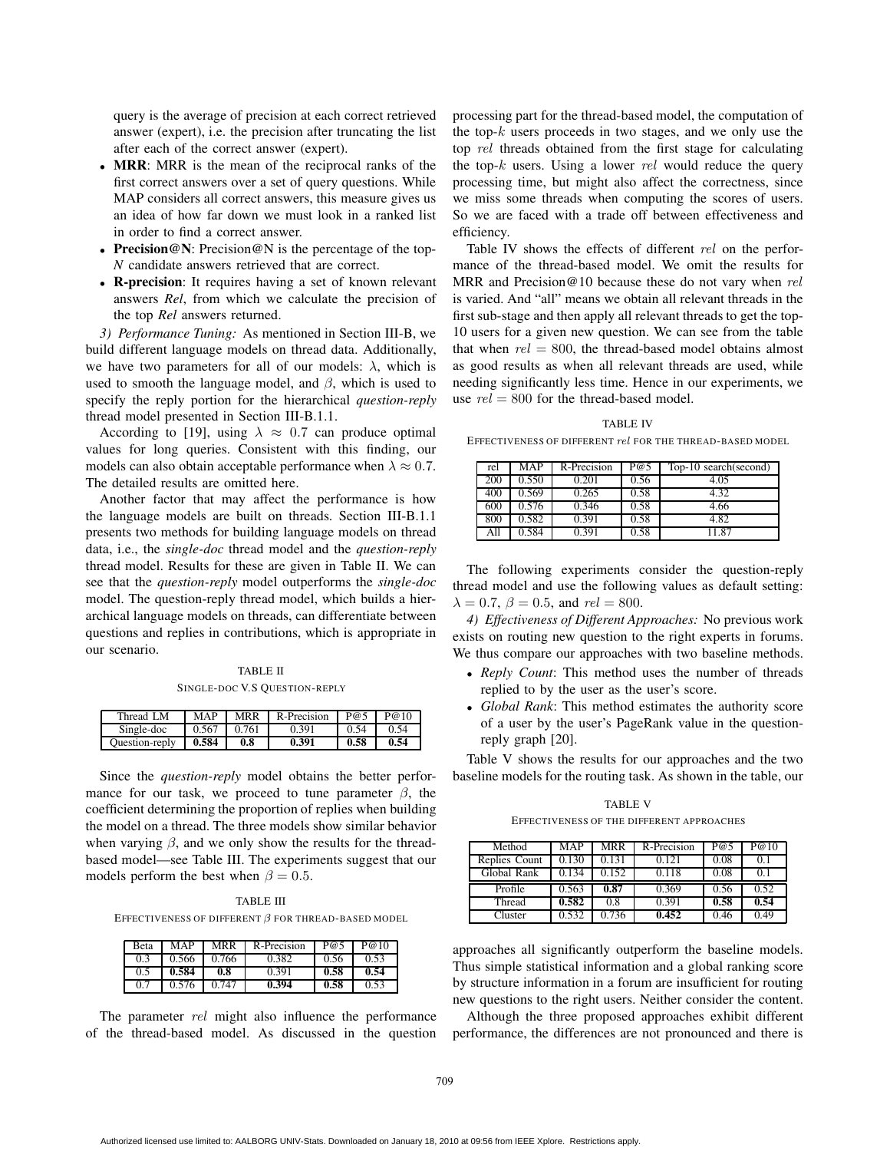query is the average of precision at each correct retrieved answer (expert), i.e. the precision after truncating the list after each of the correct answer (expert).

- **MRR**: MRR is the mean of the reciprocal ranks of the first correct answers over a set of query questions. While MAP considers all correct answers, this measure gives us an idea of how far down we must look in a ranked list in order to find a correct answer.
- **Precision@N**: Precision@N is the percentage of the top-*N* candidate answers retrieved that are correct.
- **R-precision**: It requires having a set of known relevant answers *Rel*, from which we calculate the precision of the top *Rel* answers returned.

*3) Performance Tuning:* As mentioned in Section III-B, we build different language models on thread data. Additionally, we have two parameters for all of our models:  $\lambda$ , which is used to smooth the language model, and  $\beta$ , which is used to specify the reply portion for the hierarchical *question-reply* thread model presented in Section III-B.1.1.

According to [19], using  $\lambda \approx 0.7$  can produce optimal values for long queries. Consistent with this finding, our models can also obtain acceptable performance when  $\lambda \approx 0.7$ . The detailed results are omitted here.

Another factor that may affect the performance is how the language models are built on threads. Section III-B.1.1 presents two methods for building language models on thread data, i.e., the *single-doc* thread model and the *question-reply* thread model. Results for these are given in Table II. We can see that the *question-reply* model outperforms the *single-doc* model. The question-reply thread model, which builds a hierarchical language models on threads, can differentiate between questions and replies in contributions, which is appropriate in our scenario.

TABLE II SINGLE-DOC V.S QUESTION-REPLY

| Thread LM      | MAP   | MRR   | R-Precision | P@5  | P@10 |
|----------------|-------|-------|-------------|------|------|
| Single-doc     | 0.567 | 0.761 | 0.391       | 0.54 | 0.54 |
| Question-reply | 0.584 | 0.8   | 0.391       | 0.58 | 0.54 |

Since the *question-reply* model obtains the better performance for our task, we proceed to tune parameter  $\beta$ , the coefficient determining the proportion of replies when building the model on a thread. The three models show similar behavior when varying  $\beta$ , and we only show the results for the threadbased model—see Table III. The experiments suggest that our models perform the best when  $\beta = 0.5$ .

EFFECTIVENESS OF DIFFERENT  $\beta$  FOR THREAD-BASED MODEL

| Beta | <b>MAP</b> | <b>MRR</b> | R-Precision | P@5  | P@10 |
|------|------------|------------|-------------|------|------|
| 0.3  | 0.566      | 0.766      | 0.382       | 0.56 | 0.53 |
| 0.5  | 0.584      | 0.8        | 0.391       | 0.58 | 0.54 |
| 0.7  | 0.576      | 0.747      | 0.394       | 0.58 | 0.53 |

The parameter *rel* might also influence the performance of the thread-based model. As discussed in the question

processing part for the thread-based model, the computation of the top-k users proceeds in two stages, and we only use the top *rel* threads obtained from the first stage for calculating the top-k users. Using a lower *rel* would reduce the query processing time, but might also affect the correctness, since we miss some threads when computing the scores of users. So we are faced with a trade off between effectiveness and efficiency.

Table IV shows the effects of different *rel* on the performance of the thread-based model. We omit the results for MRR and Precision@10 because these do not vary when *rel* is varied. And "all" means we obtain all relevant threads in the first sub-stage and then apply all relevant threads to get the top-10 users for a given new question. We can see from the table that when *rel* = 800, the thread-based model obtains almost as good results as when all relevant threads are used, while needing significantly less time. Hence in our experiments, we use *rel* = 800 for the thread-based model.

TABLE IV EFFECTIVENESS OF DIFFERENT *rel* FOR THE THREAD-BASED MODEL

| rel        | MAP   | R-Precision | P@5  | Top-10 search(second) |
|------------|-------|-------------|------|-----------------------|
| <b>200</b> | 0.550 | 0.201       | 0.56 | 4.05                  |
| 400        | 0.569 | 0.265       | 0.58 | 4.32                  |
| 600        | 0.576 | 0.346       | 0.58 | 4.66                  |
| 800        | 0.582 | 0.391       | 0.58 | 4.82                  |
| All        | 0.584 | 0.391       | 0.58 | 11.87                 |

The following experiments consider the question-reply thread model and use the following values as default setting:  $\lambda = 0.7$ ,  $\beta = 0.5$ , and  $rel = 800$ .

*4) Effectiveness of Different Approaches:* No previous work exists on routing new question to the right experts in forums. We thus compare our approaches with two baseline methods.

- *Reply Count*: This method uses the number of threads replied to by the user as the user's score.
- *Global Rank*: This method estimates the authority score of a user by the user's PageRank value in the questionreply graph [20].

Table V shows the results for our approaches and the two baseline models for the routing task. As shown in the table, our

TABLE V EFFECTIVENESS OF THE DIFFERENT APPROACHES

| Method        | <b>MAP</b> | <b>MRR</b> | R-Precision | P@5  | P@10           |
|---------------|------------|------------|-------------|------|----------------|
| Replies Count | 0.130      | 0.131      | 0.121       | 0.08 | 01             |
| Global Rank   | 0.134      | 0.152      | 0.118       | 0.08 | 0 <sup>1</sup> |
| Profile       | 0.563      | 0.87       | 0.369       | 0.56 | 0.52           |
| Thread        | 0.582      | 0.8        | 0.391       | 0.58 | 0.54           |
| . Iuster      |            | 0.736      | 0.452       | 0.46 | 0.49           |

approaches all significantly outperform the baseline models. Thus simple statistical information and a global ranking score by structure information in a forum are insufficient for routing new questions to the right users. Neither consider the content.

Although the three proposed approaches exhibit different performance, the differences are not pronounced and there is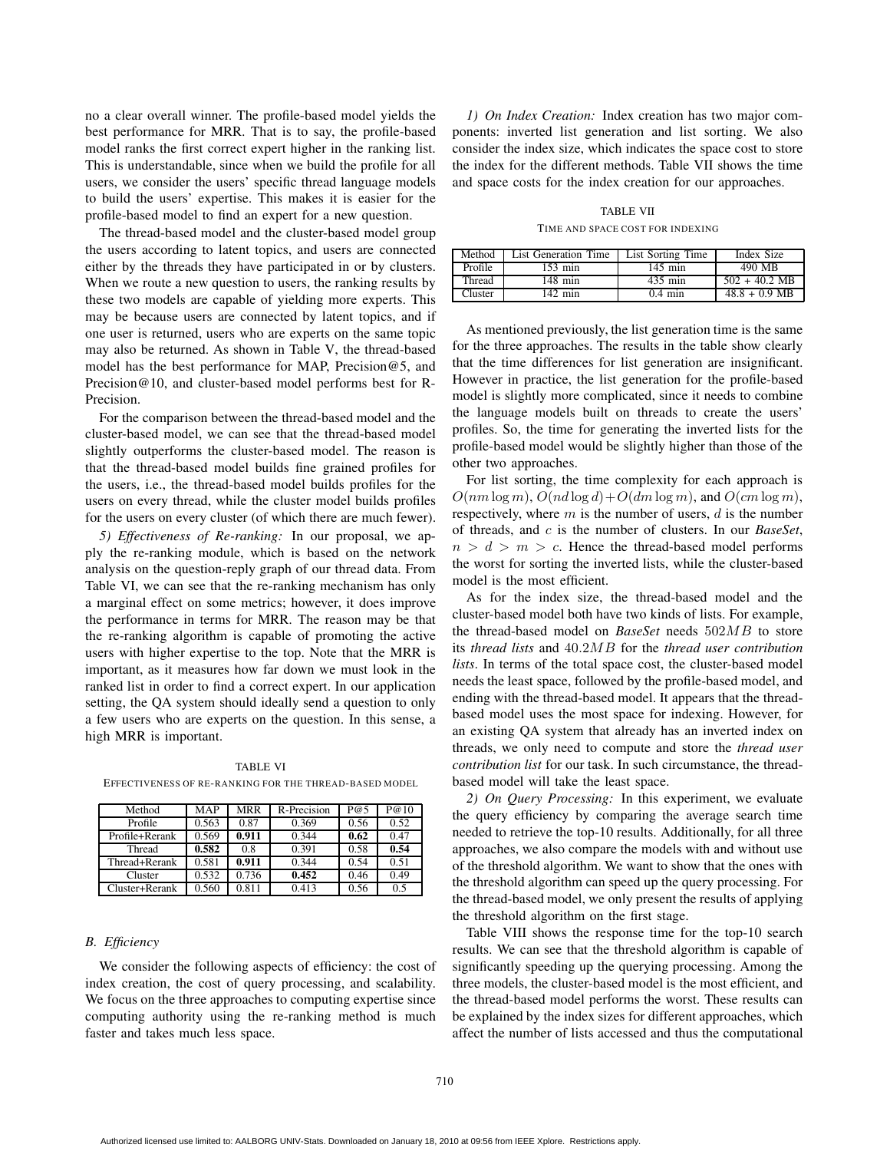no a clear overall winner. The profile-based model yields the best performance for MRR. That is to say, the profile-based model ranks the first correct expert higher in the ranking list. This is understandable, since when we build the profile for all users, we consider the users' specific thread language models to build the users' expertise. This makes it is easier for the profile-based model to find an expert for a new question.

The thread-based model and the cluster-based model group the users according to latent topics, and users are connected either by the threads they have participated in or by clusters. When we route a new question to users, the ranking results by these two models are capable of yielding more experts. This may be because users are connected by latent topics, and if one user is returned, users who are experts on the same topic may also be returned. As shown in Table V, the thread-based model has the best performance for MAP, Precision@5, and Precision@10, and cluster-based model performs best for R-Precision.

For the comparison between the thread-based model and the cluster-based model, we can see that the thread-based model slightly outperforms the cluster-based model. The reason is that the thread-based model builds fine grained profiles for the users, i.e., the thread-based model builds profiles for the users on every thread, while the cluster model builds profiles for the users on every cluster (of which there are much fewer).

*5) Effectiveness of Re-ranking:* In our proposal, we apply the re-ranking module, which is based on the network analysis on the question-reply graph of our thread data. From Table VI, we can see that the re-ranking mechanism has only a marginal effect on some metrics; however, it does improve the performance in terms for MRR. The reason may be that the re-ranking algorithm is capable of promoting the active users with higher expertise to the top. Note that the MRR is important, as it measures how far down we must look in the ranked list in order to find a correct expert. In our application setting, the QA system should ideally send a question to only a few users who are experts on the question. In this sense, a high MRR is important.

TABLE VI EFFECTIVENESS OF RE-RANKING FOR THE THREAD-BASED MODEL

| Method         | MAP   | MRR   | R-Precision | P@5  | P@10 |
|----------------|-------|-------|-------------|------|------|
| Profile        | 0.563 | 0.87  | 0.369       | 0.56 | 0.52 |
| Profile+Rerank | 0.569 | 0.911 | 0.344       | 0.62 | 0.47 |
| Thread         | 0.582 | 0.8   | 0.391       | 0.58 | 0.54 |
| Thread+Rerank  | 0.581 | 0.911 | 0.344       | 0.54 | 0.51 |
| Cluster        | 0.532 | 0.736 | 0.452       | 0.46 | 0.49 |
| Cluster+Rerank | 0.560 | 0.811 | 0.413       | 0.56 | 0.5  |

## *B. Efficiency*

We consider the following aspects of efficiency: the cost of index creation, the cost of query processing, and scalability. We focus on the three approaches to computing expertise since computing authority using the re-ranking method is much faster and takes much less space.

*1) On Index Creation:* Index creation has two major components: inverted list generation and list sorting. We also consider the index size, which indicates the space cost to store the index for the different methods. Table VII shows the time and space costs for the index creation for our approaches.

TABLE VII TIME AND SPACE COST FOR INDEXING

| Method  | List Generation Time | List Sorting Time | Index Size      |
|---------|----------------------|-------------------|-----------------|
| Profile | $153$ min            | $145$ min         | 490 MB          |
| Thread  | $148$ min            | 435 min           | $502 + 40.2$ MB |
| Cluster | 142 min              | $0.4$ min         | $48.8 + 0.9$ MB |

As mentioned previously, the list generation time is the same for the three approaches. The results in the table show clearly that the time differences for list generation are insignificant. However in practice, the list generation for the profile-based model is slightly more complicated, since it needs to combine the language models built on threads to create the users' profiles. So, the time for generating the inverted lists for the profile-based model would be slightly higher than those of the other two approaches.

For list sorting, the time complexity for each approach is  $O(nm \log m)$ ,  $O(nd \log d) + O(dm \log m)$ , and  $O(cm \log m)$ , respectively, where  $m$  is the number of users,  $d$  is the number of threads, and c is the number of clusters. In our *BaseSet*,  $n > d > m > c$ . Hence the thread-based model performs the worst for sorting the inverted lists, while the cluster-based model is the most efficient.

As for the index size, the thread-based model and the cluster-based model both have two kinds of lists. For example, the thread-based model on *BaseSet* needs 502MB to store its *thread lists* and 40.2MB for the *thread user contribution lists*. In terms of the total space cost, the cluster-based model needs the least space, followed by the profile-based model, and ending with the thread-based model. It appears that the threadbased model uses the most space for indexing. However, for an existing QA system that already has an inverted index on threads, we only need to compute and store the *thread user contribution list* for our task. In such circumstance, the threadbased model will take the least space.

*2) On Query Processing:* In this experiment, we evaluate the query efficiency by comparing the average search time needed to retrieve the top-10 results. Additionally, for all three approaches, we also compare the models with and without use of the threshold algorithm. We want to show that the ones with the threshold algorithm can speed up the query processing. For the thread-based model, we only present the results of applying the threshold algorithm on the first stage.

Table VIII shows the response time for the top-10 search results. We can see that the threshold algorithm is capable of significantly speeding up the querying processing. Among the three models, the cluster-based model is the most efficient, and the thread-based model performs the worst. These results can be explained by the index sizes for different approaches, which affect the number of lists accessed and thus the computational